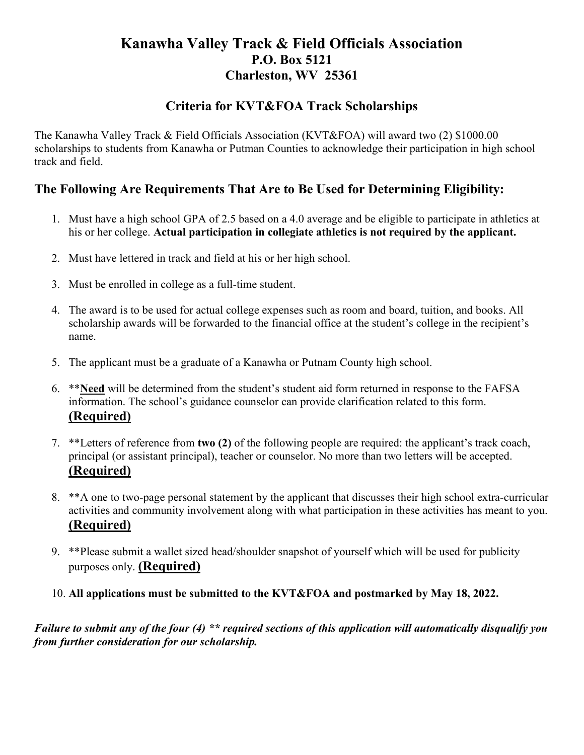## **Kanawha Valley Track & Field Officials Association P.O. Box 5121 Charleston, WV 25361**

## **Criteria for KVT&FOA Track Scholarships**

The Kanawha Valley Track & Field Officials Association (KVT&FOA) will award two (2) \$1000.00 scholarships to students from Kanawha or Putman Counties to acknowledge their participation in high school track and field.

## **The Following Are Requirements That Are to Be Used for Determining Eligibility:**

- 1. Must have a high school GPA of 2.5 based on a 4.0 average and be eligible to participate in athletics at his or her college. **Actual participation in collegiate athletics is not required by the applicant.**
- 2. Must have lettered in track and field at his or her high school.
- 3. Must be enrolled in college as a full-time student.
- 4. The award is to be used for actual college expenses such as room and board, tuition, and books. All scholarship awards will be forwarded to the financial office at the student's college in the recipient's name.
- 5. The applicant must be a graduate of a Kanawha or Putnam County high school.
- 6. \*\***Need** will be determined from the student's student aid form returned in response to the FAFSA information. The school's guidance counselor can provide clarification related to this form. **(Required)**
- 7. \*\*Letters of reference from **two (2)** of the following people are required: the applicant's track coach, principal (or assistant principal), teacher or counselor. No more than two letters will be accepted. **(Required)**
- 8. \*\*A one to two-page personal statement by the applicant that discusses their high school extra-curricular activities and community involvement along with what participation in these activities has meant to you. **(Required)**
- 9. \*\*Please submit a wallet sized head/shoulder snapshot of yourself which will be used for publicity purposes only. **(Required)**
- 10. **All applications must be submitted to the KVT&FOA and postmarked by May 18, 2022.**

*Failure to submit any of the four (4) \*\* required sections of this application will automatically disqualify you from further consideration for our scholarship.*